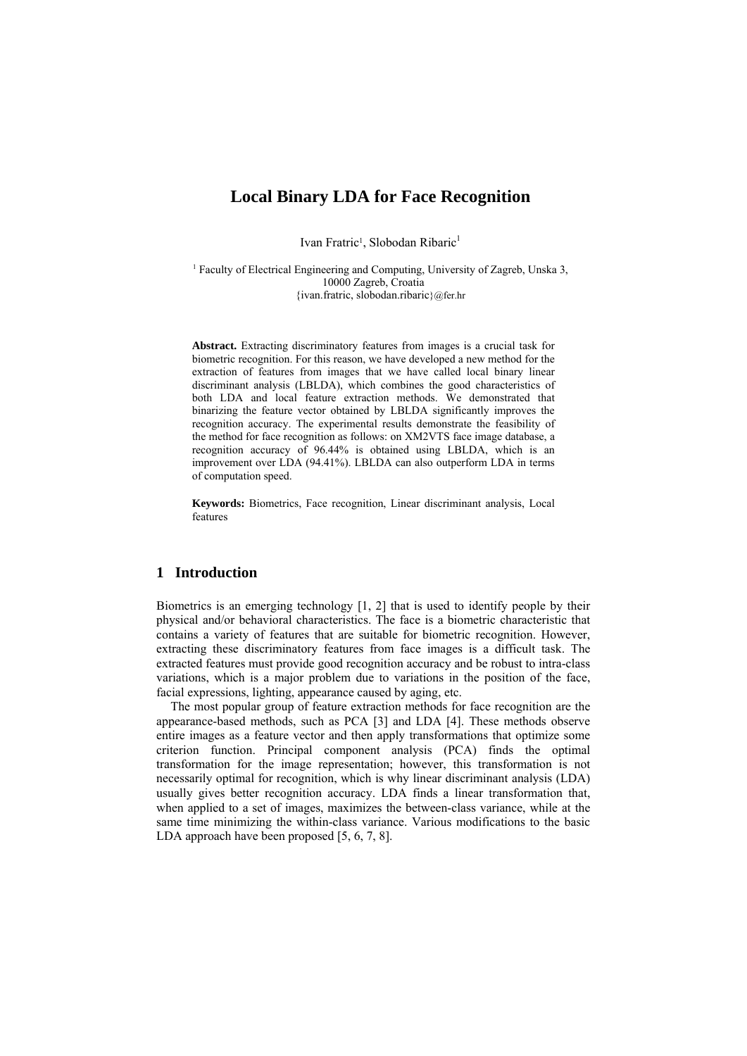# **Local Binary LDA for Face Recognition**

Ivan Fratric<sup>1</sup>, Slobodan Ribaric<sup>1</sup>

<sup>1</sup> Faculty of Electrical Engineering and Computing, University of Zagreb, Unska 3, 10000 Zagreb, Croatia {ivan.fratric, slobodan.ribaric}@fer.hr

**Abstract.** Extracting discriminatory features from images is a crucial task for biometric recognition. For this reason, we have developed a new method for the extraction of features from images that we have called local binary linear discriminant analysis (LBLDA), which combines the good characteristics of both LDA and local feature extraction methods. We demonstrated that binarizing the feature vector obtained by LBLDA significantly improves the recognition accuracy. The experimental results demonstrate the feasibility of the method for face recognition as follows: on XM2VTS face image database, a recognition accuracy of 96.44% is obtained using LBLDA, which is an improvement over LDA (94.41%). LBLDA can also outperform LDA in terms of computation speed.

**Keywords:** Biometrics, Face recognition, Linear discriminant analysis, Local features

# **1 Introduction**

Biometrics is an emerging technology [1, 2] that is used to identify people by their physical and/or behavioral characteristics. The face is a biometric characteristic that contains a variety of features that are suitable for biometric recognition. However, extracting these discriminatory features from face images is a difficult task. The extracted features must provide good recognition accuracy and be robust to intra-class variations, which is a major problem due to variations in the position of the face, facial expressions, lighting, appearance caused by aging, etc.

The most popular group of feature extraction methods for face recognition are the appearance-based methods, such as PCA [3] and LDA [4]. These methods observe entire images as a feature vector and then apply transformations that optimize some criterion function. Principal component analysis (PCA) finds the optimal transformation for the image representation; however, this transformation is not necessarily optimal for recognition, which is why linear discriminant analysis (LDA) usually gives better recognition accuracy. LDA finds a linear transformation that, when applied to a set of images, maximizes the between-class variance, while at the same time minimizing the within-class variance. Various modifications to the basic LDA approach have been proposed [5, 6, 7, 8].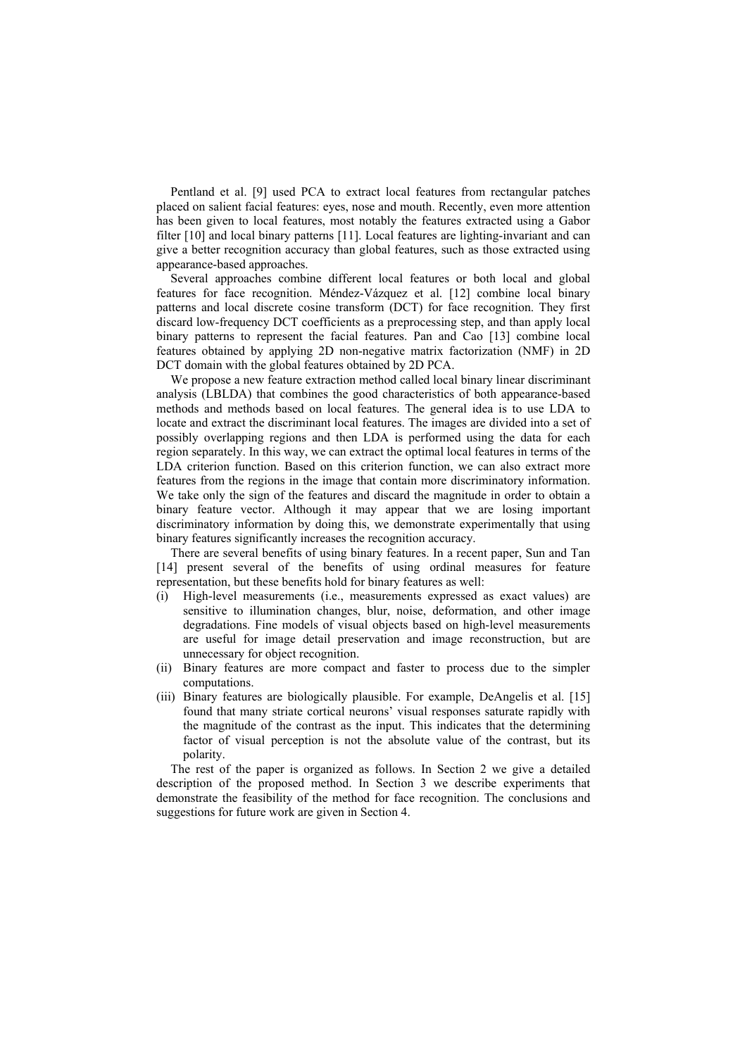Pentland et al. [9] used PCA to extract local features from rectangular patches placed on salient facial features: eyes, nose and mouth. Recently, even more attention has been given to local features, most notably the features extracted using a Gabor filter [10] and local binary patterns [11]. Local features are lighting-invariant and can give a better recognition accuracy than global features, such as those extracted using appearance-based approaches.

Several approaches combine different local features or both local and global features for face recognition. Méndez-Vázquez et al. [12] combine local binary patterns and local discrete cosine transform (DCT) for face recognition. They first discard low-frequency DCT coefficients as a preprocessing step, and than apply local binary patterns to represent the facial features. Pan and Cao [13] combine local features obtained by applying 2D non-negative matrix factorization (NMF) in 2D DCT domain with the global features obtained by 2D PCA.

We propose a new feature extraction method called local binary linear discriminant analysis (LBLDA) that combines the good characteristics of both appearance-based methods and methods based on local features. The general idea is to use LDA to locate and extract the discriminant local features. The images are divided into a set of possibly overlapping regions and then LDA is performed using the data for each region separately. In this way, we can extract the optimal local features in terms of the LDA criterion function. Based on this criterion function, we can also extract more features from the regions in the image that contain more discriminatory information. We take only the sign of the features and discard the magnitude in order to obtain a binary feature vector. Although it may appear that we are losing important discriminatory information by doing this, we demonstrate experimentally that using binary features significantly increases the recognition accuracy.

There are several benefits of using binary features. In a recent paper, Sun and Tan [14] present several of the benefits of using ordinal measures for feature representation, but these benefits hold for binary features as well:

- (i) High-level measurements (i.e., measurements expressed as exact values) are sensitive to illumination changes, blur, noise, deformation, and other image degradations. Fine models of visual objects based on high-level measurements are useful for image detail preservation and image reconstruction, but are unnecessary for object recognition.
- (ii) Binary features are more compact and faster to process due to the simpler computations.
- (iii) Binary features are biologically plausible. For example, DeAngelis et al. [15] found that many striate cortical neurons' visual responses saturate rapidly with the magnitude of the contrast as the input. This indicates that the determining factor of visual perception is not the absolute value of the contrast, but its polarity.

The rest of the paper is organized as follows. In Section 2 we give a detailed description of the proposed method. In Section 3 we describe experiments that demonstrate the feasibility of the method for face recognition. The conclusions and suggestions for future work are given in Section 4.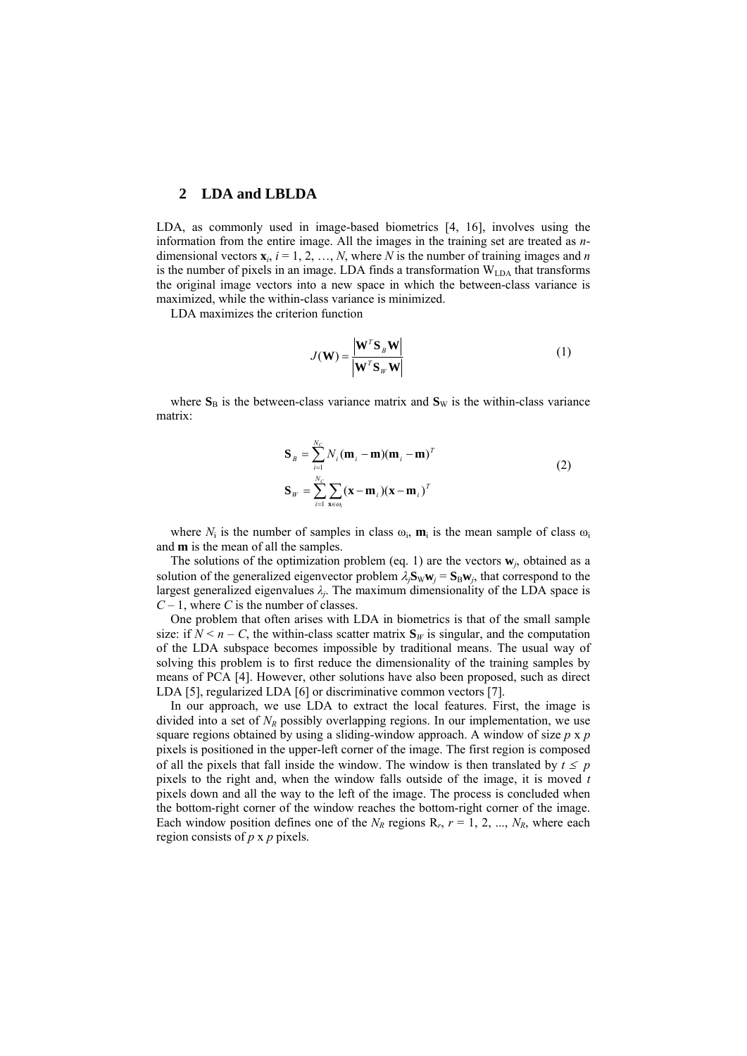### **2 LDA and LBLDA**

LDA, as commonly used in image-based biometrics [4, 16], involves using the information from the entire image. All the images in the training set are treated as *n*dimensional vectors  $\mathbf{x}_i$ ,  $i = 1, 2, ..., N$ , where *N* is the number of training images and *n* is the number of pixels in an image. LDA finds a transformation  $W<sub>LA</sub>$  that transforms the original image vectors into a new space in which the between-class variance is maximized, while the within-class variance is minimized.

LDA maximizes the criterion function

$$
J(\mathbf{W}) = \frac{\left|\mathbf{W}^T \mathbf{S}_B \mathbf{W}\right|}{\left|\mathbf{W}^T \mathbf{S}_W \mathbf{W}\right|}
$$
(1)

where  $S_B$  is the between-class variance matrix and  $S_W$  is the within-class variance matrix:

$$
\mathbf{S}_{B} = \sum_{i=1}^{N_{C}} N_{i} (\mathbf{m}_{i} - \mathbf{m}) (\mathbf{m}_{i} - \mathbf{m})^{T}
$$
  
\n
$$
\mathbf{S}_{W} = \sum_{i=1}^{N_{C}} \sum_{\mathbf{x} \in \omega_{i}} (\mathbf{x} - \mathbf{m}_{i}) (\mathbf{x} - \mathbf{m}_{i})^{T}
$$
\n(2)

where  $N_i$  is the number of samples in class  $\omega_i$ ,  $\mathbf{m}_i$  is the mean sample of class  $\omega_i$ and **m** is the mean of all the samples.

The solutions of the optimization problem (eq. 1) are the vectors  $w_i$ , obtained as a solution of the generalized eigenvector problem  $\lambda_i \mathbf{S}_w \mathbf{w}_i = \mathbf{S}_B \mathbf{w}_i$ , that correspond to the largest generalized eigenvalues  $\lambda_j$ . The maximum dimensionality of the LDA space is *C* – 1, where *C* is the number of classes.

One problem that often arises with LDA in biometrics is that of the small sample size: if  $N \le n - C$ , the within-class scatter matrix  $S_W$  is singular, and the computation of the LDA subspace becomes impossible by traditional means. The usual way of solving this problem is to first reduce the dimensionality of the training samples by means of PCA [4]. However, other solutions have also been proposed, such as direct LDA [5], regularized LDA [6] or discriminative common vectors [7].

In our approach, we use LDA to extract the local features. First, the image is divided into a set of  $N_R$  possibly overlapping regions. In our implementation, we use square regions obtained by using a sliding-window approach. A window of size *p* x *p* pixels is positioned in the upper-left corner of the image. The first region is composed of all the pixels that fall inside the window. The window is then translated by  $t \leq p$ pixels to the right and, when the window falls outside of the image, it is moved *t* pixels down and all the way to the left of the image. The process is concluded when the bottom-right corner of the window reaches the bottom-right corner of the image. Each window position defines one of the  $N_R$  regions  $R_r$ ,  $r = 1, 2, ..., N_R$ , where each region consists of *p* x *p* pixels.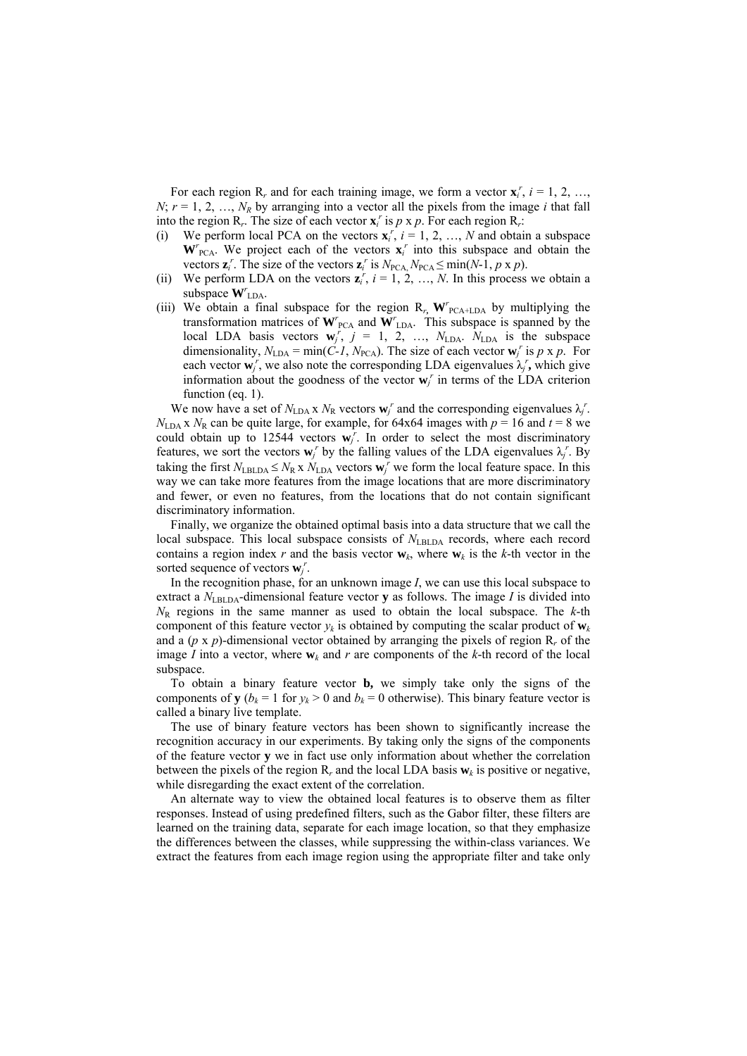For each region  $R_r$ , and for each training image, we form a vector  $\mathbf{x}_i^r$ ,  $i = 1, 2, ...,$  $N$ ;  $r = 1, 2, ..., N_R$  by arranging into a vector all the pixels from the image *i* that fall into the region  $R_r$ . The size of each vector  $\mathbf{x}_i^r$  is  $p \times p$ . For each region  $R_r$ :

- (i) We perform local PCA on the vectors  $\mathbf{x}_i^r$ ,  $i = 1, 2, ..., N$  and obtain a subspace  $W_{\text{PCA}}^r$ . We project each of the vectors  $x_i^r$  into this subspace and obtain the vectors  $\mathbf{z}_i^r$ . The size of the vectors  $\mathbf{z}_i^r$  is  $N_{PCA}N_{PCA} \le \min(N-1, p \ge p)$ .
- (ii) We perform LDA on the vectors  $z_i^r$ ,  $i = 1, 2, ..., N$ . In this process we obtain a subspace  $W^r$ <sub>LDA</sub>.
- (iii) We obtain a final subspace for the region  $R_r$ ,  $W^r$ <sub>PCA+LDA</sub> by multiplying the transformation matrices of  $W'_{\text{PCA}}$  and  $W'_{\text{LDA}}$ . This subspace is spanned by the local LDA basis vectors  $\mathbf{w}_j^r$ ,  $j = 1, 2, ..., N_{LDA}$ .  $N_{LDA}$  is the subspace dimensionality,  $N_{\text{LDA}} = \min(\overrightarrow{C} \cdot I, N_{\text{PCA}})$ . The size of each vector  $\mathbf{w}_j^r$  is  $p \times p$ . For each vector  $\mathbf{w}_j^r$ , we also note the corresponding LDA eigenvalues  $\lambda_j^r$ , which give information about the goodness of the vector  $\mathbf{w}_j^r$  in terms of the LDA criterion function (eq. 1).

We now have a set of  $N_{\text{LDA}} \times N_{\text{R}}$  vectors  $\mathbf{w}_j^r$  and the corresponding eigenvalues  $\lambda_j^r$ .  $N_{\text{LDA}}$  x  $N_{\text{R}}$  can be quite large, for example, for 64x64 images with  $p = 16$  and  $t = 8$  we could obtain up to 12544 vectors  $\mathbf{w}_j^r$ . In order to select the most discriminatory features, we sort the vectors  $\mathbf{w}_j^r$  by the falling values of the LDA eigenvalues  $\lambda_j^r$ . By taking the first  $N_{\text{LBLDA}} \leq N_R \times N_{\text{LDA}}$  vectors  $\mathbf{w}_i^r$  we form the local feature space. In this way we can take more features from the image locations that are more discriminatory and fewer, or even no features, from the locations that do not contain significant discriminatory information.

Finally, we organize the obtained optimal basis into a data structure that we call the local subspace. This local subspace consists of  $N_{\text{LBLDA}}$  records, where each record contains a region index *r* and the basis vector  $w_k$ , where  $w_k$  is the *k*-th vector in the sorted sequence of vectors  $\mathbf{w}_j^r$ .

In the recognition phase, for an unknown image *I*, we can use this local subspace to extract a  $N_{\text{LBLDA}}$ -dimensional feature vector **y** as follows. The image *I* is divided into  $N_R$  regions in the same manner as used to obtain the local subspace. The  $k$ -th component of this feature vector  $v_k$  is obtained by computing the scalar product of  $w_k$ and a  $(p \times p)$ -dimensional vector obtained by arranging the pixels of region  $R_r$  of the image *I* into a vector, where  $w_k$  and *r* are components of the *k*-th record of the local subspace.

To obtain a binary feature vector **b,** we simply take only the signs of the components of **y** ( $b_k = 1$  for  $y_k > 0$  and  $b_k = 0$  otherwise). This binary feature vector is called a binary live template.

The use of binary feature vectors has been shown to significantly increase the recognition accuracy in our experiments. By taking only the signs of the components of the feature vector **y** we in fact use only information about whether the correlation between the pixels of the region  $\mathbb{R}_r$  and the local LDA basis  $\mathbf{w}_k$  is positive or negative, while disregarding the exact extent of the correlation.

An alternate way to view the obtained local features is to observe them as filter responses. Instead of using predefined filters, such as the Gabor filter, these filters are learned on the training data, separate for each image location, so that they emphasize the differences between the classes, while suppressing the within-class variances. We extract the features from each image region using the appropriate filter and take only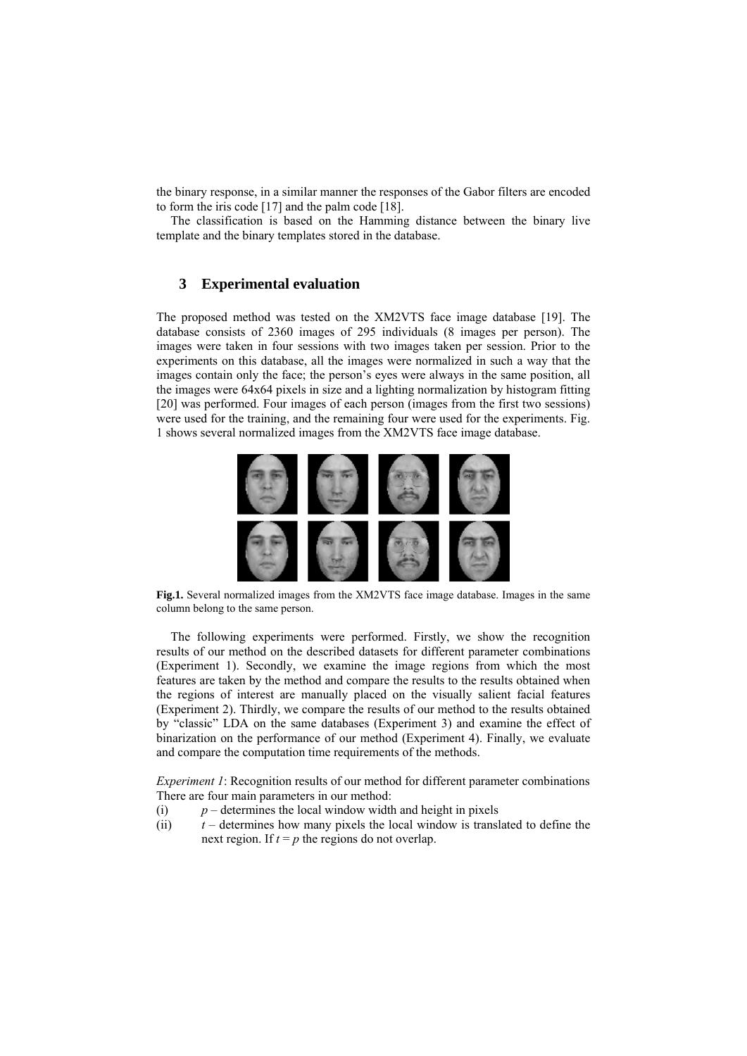the binary response, in a similar manner the responses of the Gabor filters are encoded to form the iris code [17] and the palm code [18].

The classification is based on the Hamming distance between the binary live template and the binary templates stored in the database.

# **3 Experimental evaluation**

The proposed method was tested on the XM2VTS face image database [19]. The database consists of 2360 images of 295 individuals (8 images per person). The images were taken in four sessions with two images taken per session. Prior to the experiments on this database, all the images were normalized in such a way that the images contain only the face; the person's eyes were always in the same position, all the images were 64x64 pixels in size and a lighting normalization by histogram fitting [20] was performed. Four images of each person (images from the first two sessions) were used for the training, and the remaining four were used for the experiments. Fig. 1 shows several normalized images from the XM2VTS face image database.



**Fig.1.** Several normalized images from the XM2VTS face image database. Images in the same column belong to the same person.

The following experiments were performed. Firstly, we show the recognition results of our method on the described datasets for different parameter combinations (Experiment 1). Secondly, we examine the image regions from which the most features are taken by the method and compare the results to the results obtained when the regions of interest are manually placed on the visually salient facial features (Experiment 2). Thirdly, we compare the results of our method to the results obtained by "classic" LDA on the same databases (Experiment 3) and examine the effect of binarization on the performance of our method (Experiment 4). Finally, we evaluate and compare the computation time requirements of the methods.

*Experiment 1*: Recognition results of our method for different parameter combinations There are four main parameters in our method:

- (i)  $p$  determines the local window width and height in pixels
- (ii) *t* determines how many pixels the local window is translated to define the next region. If  $t = p$  the regions do not overlap.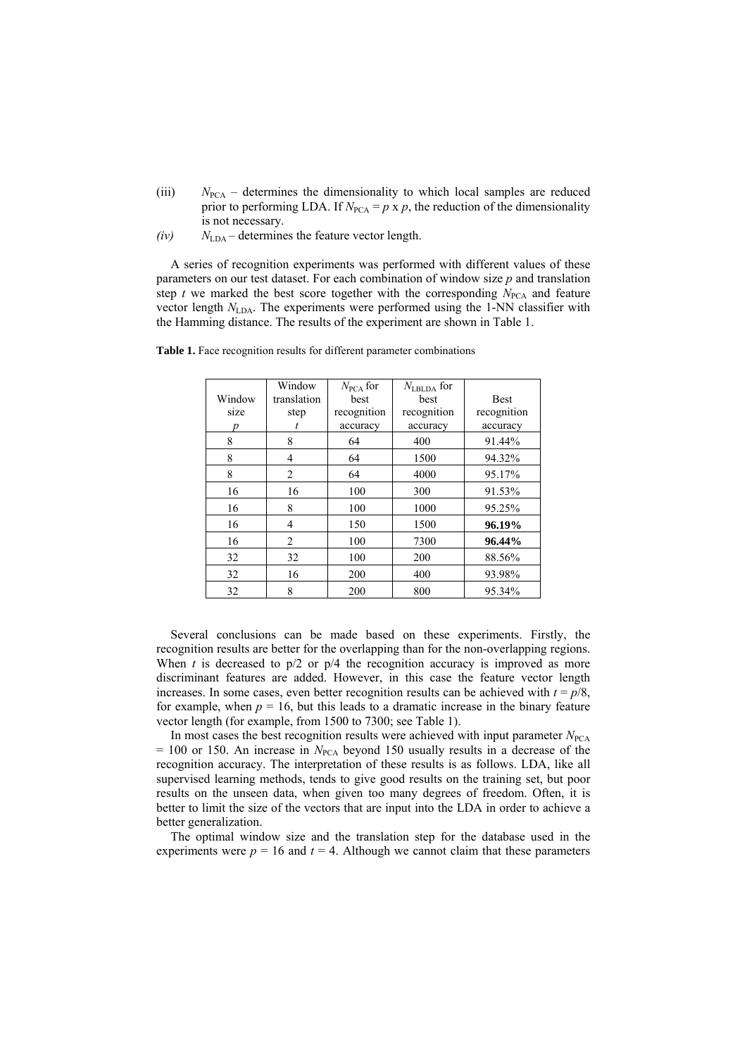- (iii)  $N_{\text{PCA}}$  determines the dimensionality to which local samples are reduced prior to performing LDA. If  $N_{PCA} = p \times p$ , the reduction of the dimensionality is not necessary.
- $(iv)$   $N_{LDA}$  determines the feature vector length.

A series of recognition experiments was performed with different values of these parameters on our test dataset. For each combination of window size *p* and translation step  $t$  we marked the best score together with the corresponding  $N_{PCA}$  and feature vector length  $N_{\text{LDA}}$ . The experiments were performed using the 1-NN classifier with the Hamming distance. The results of the experiment are shown in Table 1.

|        | Window         | $N_{\text{PCA}}$ for | $N_{\rm LBLDA}$ for |             |
|--------|----------------|----------------------|---------------------|-------------|
| Window | translation    | best                 | best                | <b>Best</b> |
| size   | step           | recognition          | recognition         | recognition |
| р      |                | accuracy             | accuracy            | accuracy    |
| 8      | 8              | 64                   | 400                 | 91.44%      |
| 8      | $\overline{4}$ | 64                   | 1500                | 94.32%      |
| 8      | $\overline{2}$ | 64                   | 4000                | 95.17%      |
| 16     | 16             | 100                  | 300                 | 91.53%      |
| 16     | 8              | 100                  | 1000                | 95.25%      |
| 16     | $\overline{4}$ | 150                  | 1500                | 96.19%      |
| 16     | $\overline{c}$ | 100                  | 7300                | 96.44%      |
| 32     | 32             | 100                  | 200                 | 88.56%      |
| 32     | 16             | 200                  | 400                 | 93.98%      |
| 32     | 8              | 200                  | 800                 | 95.34%      |

Table 1. Face recognition results for different parameter combinations

Several conclusions can be made based on these experiments. Firstly, the recognition results are better for the overlapping than for the non-overlapping regions. When  $t$  is decreased to  $p/2$  or  $p/4$  the recognition accuracy is improved as more discriminant features are added. However, in this case the feature vector length increases. In some cases, even better recognition results can be achieved with  $t = p/8$ , for example, when  $p = 16$ , but this leads to a dramatic increase in the binary feature vector length (for example, from 1500 to 7300; see Table 1).

In most cases the best recognition results were achieved with input parameter  $N_{PCA}$  $= 100$  or 150. An increase in  $N_{PCA}$  beyond 150 usually results in a decrease of the recognition accuracy. The interpretation of these results is as follows. LDA, like all supervised learning methods, tends to give good results on the training set, but poor results on the unseen data, when given too many degrees of freedom. Often, it is better to limit the size of the vectors that are input into the LDA in order to achieve a better generalization.

The optimal window size and the translation step for the database used in the experiments were  $p = 16$  and  $t = 4$ . Although we cannot claim that these parameters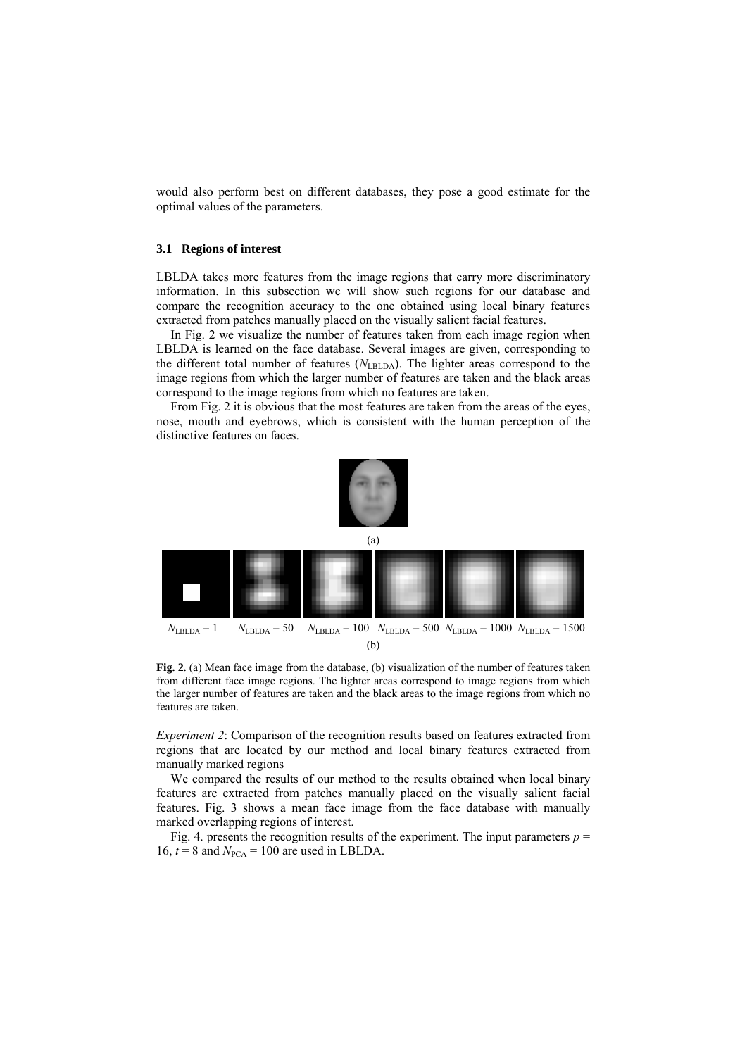would also perform best on different databases, they pose a good estimate for the optimal values of the parameters.

#### **3.1 Regions of interest**

LBLDA takes more features from the image regions that carry more discriminatory information. In this subsection we will show such regions for our database and compare the recognition accuracy to the one obtained using local binary features extracted from patches manually placed on the visually salient facial features.

In Fig. 2 we visualize the number of features taken from each image region when LBLDA is learned on the face database. Several images are given, corresponding to the different total number of features ( $N_{\text{LEDA}}$ ). The lighter areas correspond to the image regions from which the larger number of features are taken and the black areas correspond to the image regions from which no features are taken.

From Fig. 2 it is obvious that the most features are taken from the areas of the eyes, nose, mouth and eyebrows, which is consistent with the human perception of the distinctive features on faces.



Fig. 2. (a) Mean face image from the database, (b) visualization of the number of features taken from different face image regions. The lighter areas correspond to image regions from which the larger number of features are taken and the black areas to the image regions from which no features are taken.

*Experiment 2*: Comparison of the recognition results based on features extracted from regions that are located by our method and local binary features extracted from manually marked regions

We compared the results of our method to the results obtained when local binary features are extracted from patches manually placed on the visually salient facial features. Fig. 3 shows a mean face image from the face database with manually marked overlapping regions of interest.

Fig. 4. presents the recognition results of the experiment. The input parameters  $p =$ 16,  $t = 8$  and  $N_{PCA} = 100$  are used in LBLDA.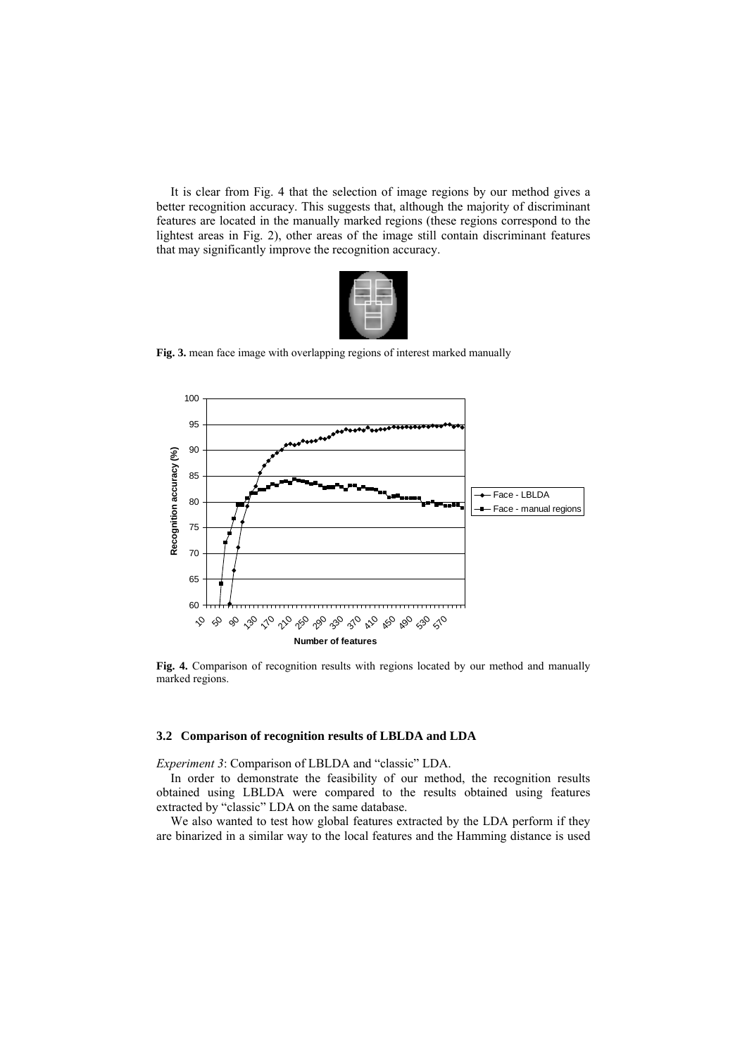It is clear from Fig. 4 that the selection of image regions by our method gives a better recognition accuracy. This suggests that, although the majority of discriminant features are located in the manually marked regions (these regions correspond to the lightest areas in Fig. 2), other areas of the image still contain discriminant features that may significantly improve the recognition accuracy.



**Fig. 3.** mean face image with overlapping regions of interest marked manually



**Fig. 4.** Comparison of recognition results with regions located by our method and manually marked regions.

### **3.2 Comparison of recognition results of LBLDA and LDA**

*Experiment 3*: Comparison of LBLDA and "classic" LDA.

In order to demonstrate the feasibility of our method, the recognition results obtained using LBLDA were compared to the results obtained using features extracted by "classic" LDA on the same database.

We also wanted to test how global features extracted by the LDA perform if they are binarized in a similar way to the local features and the Hamming distance is used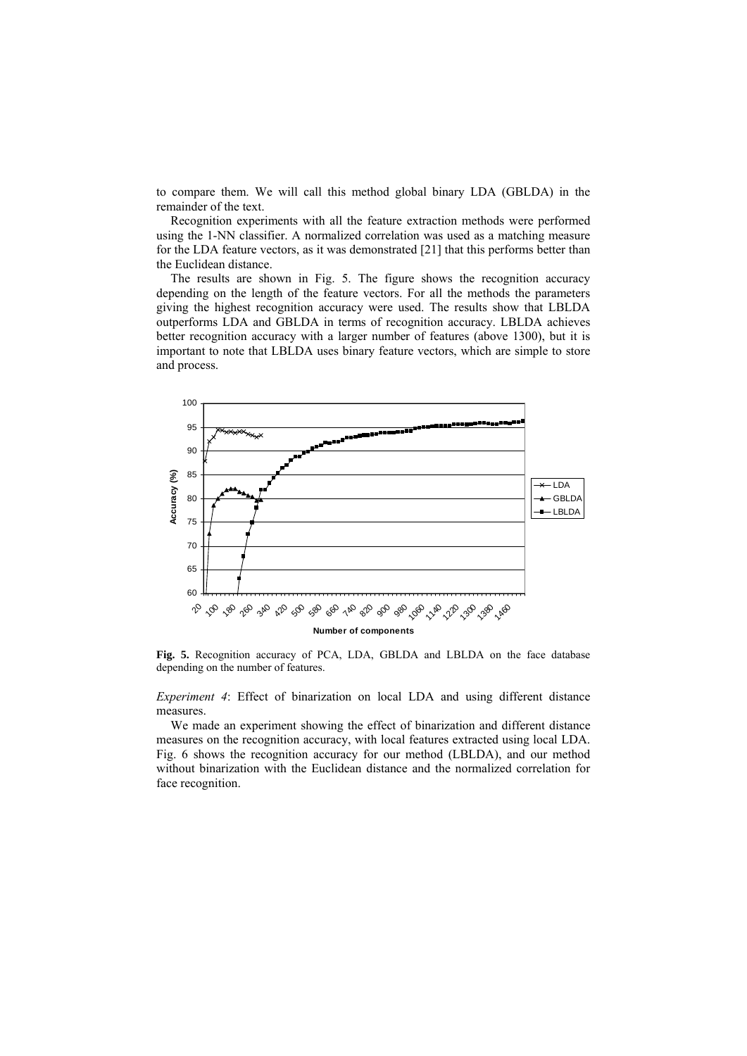to compare them. We will call this method global binary LDA (GBLDA) in the remainder of the text.

Recognition experiments with all the feature extraction methods were performed using the 1-NN classifier. A normalized correlation was used as a matching measure for the LDA feature vectors, as it was demonstrated [21] that this performs better than the Euclidean distance.

The results are shown in Fig. 5. The figure shows the recognition accuracy depending on the length of the feature vectors. For all the methods the parameters giving the highest recognition accuracy were used. The results show that LBLDA outperforms LDA and GBLDA in terms of recognition accuracy. LBLDA achieves better recognition accuracy with a larger number of features (above 1300), but it is important to note that LBLDA uses binary feature vectors, which are simple to store and process.



**Fig. 5.** Recognition accuracy of PCA, LDA, GBLDA and LBLDA on the face database depending on the number of features.

*Experiment 4*: Effect of binarization on local LDA and using different distance measures.

We made an experiment showing the effect of binarization and different distance measures on the recognition accuracy, with local features extracted using local LDA. Fig. 6 shows the recognition accuracy for our method (LBLDA), and our method without binarization with the Euclidean distance and the normalized correlation for face recognition.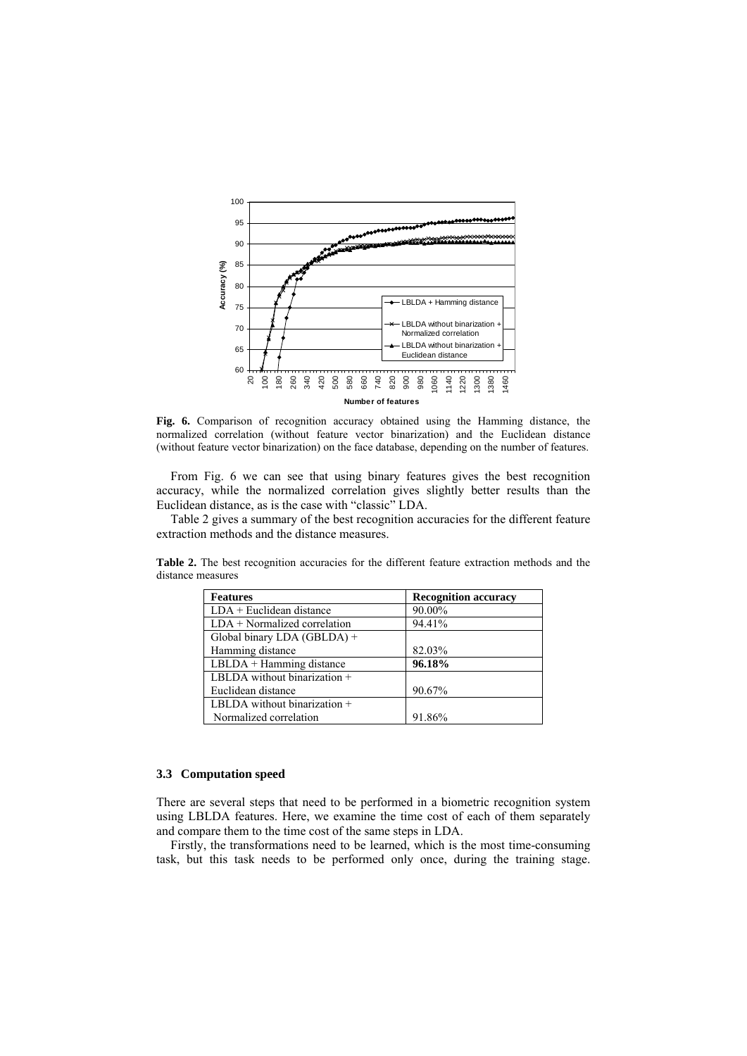

**Fig. 6.** Comparison of recognition accuracy obtained using the Hamming distance, the normalized correlation (without feature vector binarization) and the Euclidean distance (without feature vector binarization) on the face database, depending on the number of features.

From Fig. 6 we can see that using binary features gives the best recognition accuracy, while the normalized correlation gives slightly better results than the Euclidean distance, as is the case with "classic" LDA.

Table 2 gives a summary of the best recognition accuracies for the different feature extraction methods and the distance measures.

| <b>Features</b>                | <b>Recognition accuracy</b> |  |
|--------------------------------|-----------------------------|--|
| $LDA$ + Euclidean distance     | 90.00%                      |  |
| $LDA + Normalized correlation$ | 94.41%                      |  |
| Global binary LDA (GBLDA) +    |                             |  |
| Hamming distance               | 82.03%                      |  |
| LBLDA + Hamming distance       | 96.18%                      |  |
| LBLDA without binarization $+$ |                             |  |
| Euclidean distance             | 90.67%                      |  |
| LBLDA without binarization $+$ |                             |  |
| Normalized correlation         | 91.86%                      |  |

**Table 2.** The best recognition accuracies for the different feature extraction methods and the distance measures

### **3.3 Computation speed**

There are several steps that need to be performed in a biometric recognition system using LBLDA features. Here, we examine the time cost of each of them separately and compare them to the time cost of the same steps in LDA.

Firstly, the transformations need to be learned, which is the most time-consuming task, but this task needs to be performed only once, during the training stage.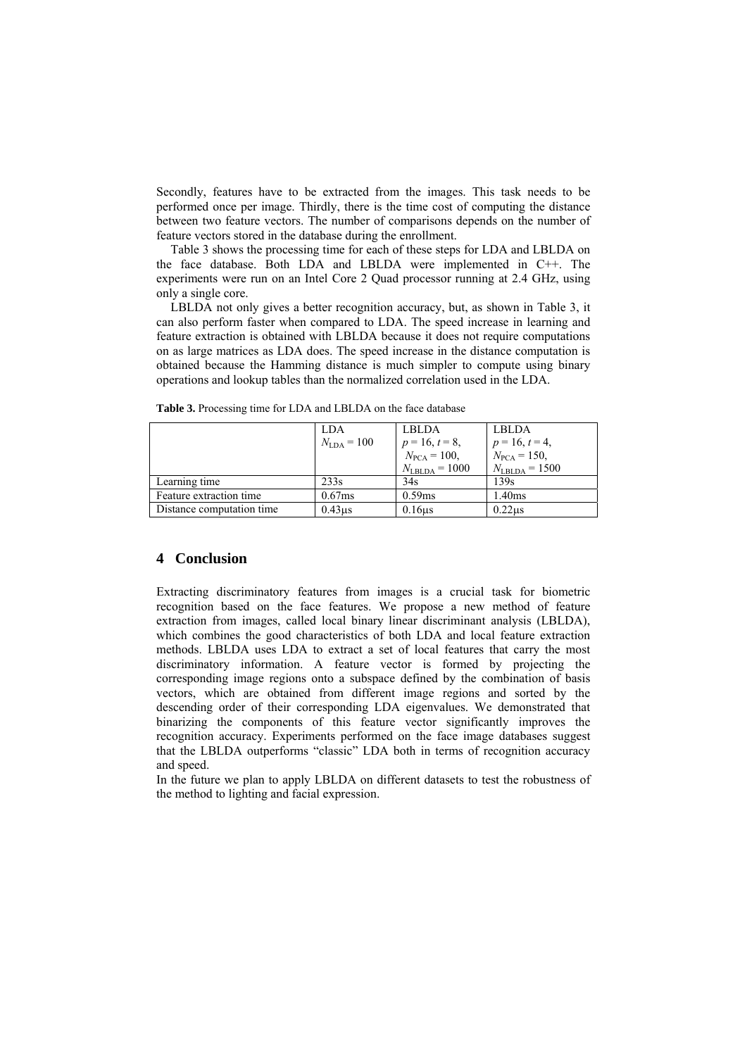Secondly, features have to be extracted from the images. This task needs to be performed once per image. Thirdly, there is the time cost of computing the distance between two feature vectors. The number of comparisons depends on the number of feature vectors stored in the database during the enrollment.

Table 3 shows the processing time for each of these steps for LDA and LBLDA on the face database. Both LDA and LBLDA were implemented in C++. The experiments were run on an Intel Core 2 Quad processor running at 2.4 GHz, using only a single core.

LBLDA not only gives a better recognition accuracy, but, as shown in Table 3, it can also perform faster when compared to LDA. The speed increase in learning and feature extraction is obtained with LBLDA because it does not require computations on as large matrices as LDA does. The speed increase in the distance computation is obtained because the Hamming distance is much simpler to compute using binary operations and lookup tables than the normalized correlation used in the LDA.

|                           | LDA.                   | <b>LBLDA</b>              | <b>LBLDA</b>              |
|---------------------------|------------------------|---------------------------|---------------------------|
|                           | $N_{\text{LDA}} = 100$ | $p = 16, t = 8,$          | $p = 16, t = 4,$          |
|                           |                        | $N_{\text{PCA}} = 100,$   | $N_{\text{PCA}} = 150,$   |
|                           |                        | $N_{\text{LBLDA}} = 1000$ | $N_{\text{LBLDA}} = 1500$ |
| Learning time             | 233 <sub>s</sub>       | 34s                       | 139s                      |
| Feature extraction time   | 0.67ms                 | 0.59ms                    | 1.40ms                    |
| Distance computation time | 0.43 <sub>us</sub>     | 0.16 <sub>us</sub>        | 0.22us                    |

**Table 3.** Processing time for LDA and LBLDA on the face database

## **4 Conclusion**

Extracting discriminatory features from images is a crucial task for biometric recognition based on the face features. We propose a new method of feature extraction from images, called local binary linear discriminant analysis (LBLDA), which combines the good characteristics of both LDA and local feature extraction methods. LBLDA uses LDA to extract a set of local features that carry the most discriminatory information. A feature vector is formed by projecting the corresponding image regions onto a subspace defined by the combination of basis vectors, which are obtained from different image regions and sorted by the descending order of their corresponding LDA eigenvalues. We demonstrated that binarizing the components of this feature vector significantly improves the recognition accuracy. Experiments performed on the face image databases suggest that the LBLDA outperforms "classic" LDA both in terms of recognition accuracy and speed.

In the future we plan to apply LBLDA on different datasets to test the robustness of the method to lighting and facial expression.